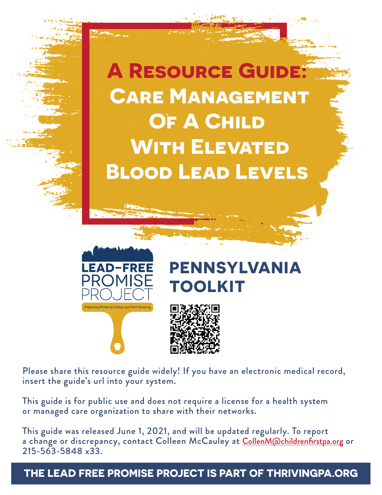



# **PENNSYLVANIA TOOLKIT**



Please share this resource guide widely! If you have an electronic medical record, insert the guide's url into your system.

This guide is for public use and does not require a license for a health system or managed care organization to share with their networks.

This guide was released June 1, 2021, and will be updated regularly. To report a change or discrepancy, contact Colleen McCauley at Collen M@childrenfirstpa.org or 215-563-5848 x33.

# **THE LEAD FREE PROMISE PROJECT IS PART OF THRIVINGPA.ORG**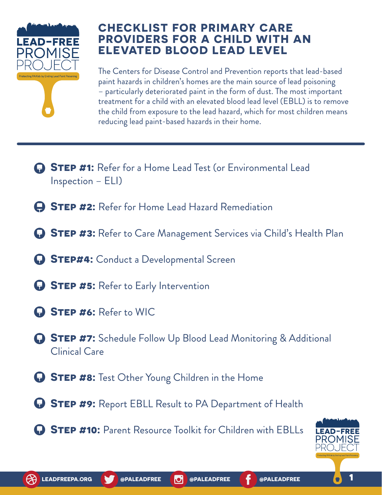

# **CHECKLIST FOR PRIMARY CARE PROVIDERS FOR A CHILD WITH AN ELEVATED BLOOD LEAD LEVEL**

The Centers for Disease Control and Prevention reports that lead-based paint hazards in children's homes are the main source of lead poisoning – particularly deteriorated paint in the form of dust. The most important treatment for a child with an elevated blood lead level (EBLL) is to remove the child from exposure to the lead hazard, which for most children means reducing lead paint-based hazards in their home.

- **Step #1:** Refer for a Home Lead Test (or Environmental Lead Inspection – ELI)
- **Step #2:** Refer for Home Lead Hazard Remediation
- **STEP #3:** Refer to Care Management Services via Child's Health Plan
- **Step#4:** Conduct a Developmental Screen
- **STEP #5:** Refer to Early Intervention
- **Step #6:** Refer to WIC
- **Step #7:** Schedule Follow Up Blood Lead Monitoring & Additional Clinical Care
- **G** STEP #8: Test Other Young Children in the Home
- **G** STEP #9: Report EBLL Result to PA Department of Health
- **STEP #10:** Parent Resource Toolkit for Children with EBLLs

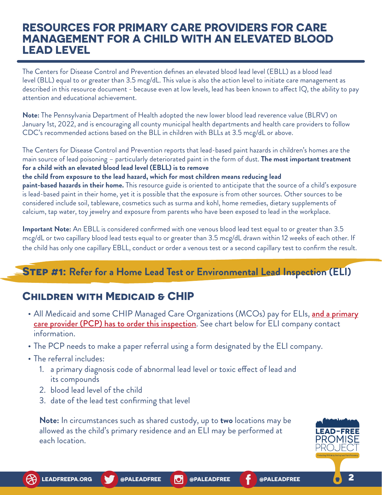# **RESOURCES FOR PRIMARY CARE PROVIDERS FOR CARE MANAGEMENT FOR A CHILD WITH AN ELEVATED BLOOD LEAD LEVEL**

The Centers for Disease Control and Prevention defines an elevated blood lead level (EBLL) as a blood lead level (BLL) equal to or greater than 3.5 mcg/dL. This value is also the action level to initiate care management as described in this resource document - because even at low levels, lead has been known to affect IQ, the ability to pay attention and educational achievement.

**Note:** The Pennsylvania Department of Health adopted the new lower blood lead reverence value (BLRV) on January 1st, 2022, and is encouraging all county municipal health departments and health care providers to follow CDC's recommended actions based on the BLL in children with BLLs at 3.5 mcg/dL or above.

The Centers for Disease Control and Prevention reports that lead-based paint hazards in children's homes are the main source of lead poisoning – particularly deteriorated paint in the form of dust. **The most important treatment for a child with an elevated blood lead level (EBLL) is to remove** 

#### **the child from exposure to the lead hazard, which for most children means reducing lead**

**paint-based hazards in their home.** This resource guide is oriented to anticipate that the source of a child's exposure is lead-based paint in their home, yet it is possible that the exposure is from other sources. Other sources to be considered include soil, tableware, cosmetics such as surma and kohl, home remedies, dietary supplements of calcium, tap water, toy jewelry and exposure from parents who have been exposed to lead in the workplace.

**Important Note:** An EBLL is considered confirmed with one venous blood lead test equal to or greater than 3.5 mcg/dL or two capillary blood lead tests equal to or greater than 3.5 mcg/dL drawn within 12 weeks of each other. If the child has only one capillary EBLL, conduct or order a venous test or a second capillary test to confirm the result.

# **Step #1: Refer for a Home Lead Test or Environmental Lead Inspection (ELI)**

# **Children with Medicaid & CHIP**

- All Medicaid and some CHIP Managed Care Organizations (MCOs) pay for ELIs, [and a primary](#page-3-0) [care provider \(PCP\) has to order this inspection](#page-3-0). See chart below for ELI company contact information.
- **•** The PCP needs to make a paper referral using a form designated by the ELI company.
- **•** The referral includes:
	- 1. a primary diagnosis code of abnormal lead level or toxic effect of lead and its compounds
	- 2. blood lead level of the child
	- 3. date of the lead test confirming that level

**Note:** In circumstances such as shared custody, up to **two** locations may be allowed as the child's primary residence and an ELI may be performed at each location.

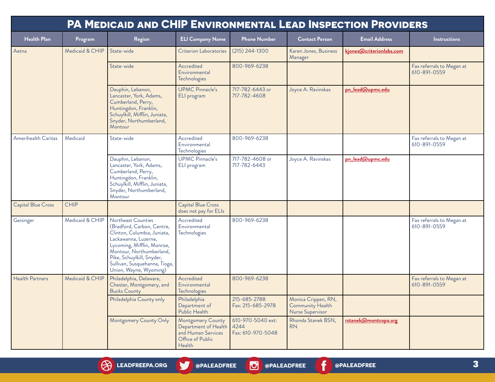<span id="page-3-0"></span>

| <b>PA MEDICAID AND CHIP ENVIRONMENTAL LEAD INSPECTION PROVIDERS</b> |                 |                                                                                                                                                                                                                                                           |                                                                                                           |                                        |                                                             |                          |                                           |
|---------------------------------------------------------------------|-----------------|-----------------------------------------------------------------------------------------------------------------------------------------------------------------------------------------------------------------------------------------------------------|-----------------------------------------------------------------------------------------------------------|----------------------------------------|-------------------------------------------------------------|--------------------------|-------------------------------------------|
| <b>Health Plan</b>                                                  | Program         | Region                                                                                                                                                                                                                                                    | <b>ELI Company Name</b>                                                                                   | <b>Phone Number</b>                    | <b>Contact Person</b>                                       | <b>Email Address</b>     | <b>Instructions</b>                       |
| Aetna                                                               | Medicaid & CHIP | State-wide                                                                                                                                                                                                                                                | <b>Criterion Laboratories</b>                                                                             | $(215)$ 244-1300                       | Karen Jones, Business<br>Manager                            | kjones@criterionlabs.com |                                           |
|                                                                     |                 | State-wide                                                                                                                                                                                                                                                | Accredited<br>Environmental<br>Technologies                                                               | 800-969-6238                           |                                                             |                          | Fax referrals to Megan at<br>610-891-0559 |
|                                                                     |                 | Dauphin, Lebanon,<br>Lancaster, York, Adams,<br>Cumberland, Perry,<br>Huntingdon, Franklin,<br>Schuylkill, Mifflin, Juniata,<br>Snyder, Northumberland,<br>Montour                                                                                        | <b>UPMC Pinnacle's</b><br>ELI program                                                                     | 717-782-6443 or<br>717-782-4608        | Joyce A. Ravinskas                                          | pn_lead@upmc.edu         |                                           |
| Amerihealth Caritas                                                 | Medicaid        | State-wide                                                                                                                                                                                                                                                | Accredited<br>Environmental<br>Technologies                                                               | 800-969-6238                           |                                                             |                          | Fax referrals to Megan at<br>610-891-0559 |
|                                                                     |                 | Dauphin, Lebanon,<br>Lancaster, York, Adams,<br>Cumberland, Perry,<br>Huntingdon, Franklin,<br>Schuylkill, Mifflin, Juniata,<br>Snyder, Northumberland,<br>Montour                                                                                        | <b>UPMC Pinnacle's</b><br>ELI program                                                                     | 717-782-4608 or<br>717-782-6443        | Joyce A. Ravinskas                                          | pn_lead@upmc.edu         |                                           |
| <b>Capital Blue Cross</b>                                           | <b>CHIP</b>     |                                                                                                                                                                                                                                                           | <b>Capital Blue Cross</b><br>does not pay for ELIs                                                        |                                        |                                                             |                          |                                           |
| Geisinger                                                           | Medicaid & CHIP | Northeast Counties<br>(Bradford, Carbon, Centre,<br>Clinton, Columbia, Juniata,<br>Lackawanna, Luzerne,<br>Lycoming, Mifflin, Monroe,<br>Montour, Northumberland,<br>Pike, Schuylkill, Snyder,<br>Sullivan, Susquehanna, Tioga,<br>Union, Wayne, Wyoming) | Accredited<br>Environmental<br>Technologies                                                               | 800-969-6238                           |                                                             |                          | Fax referrals to Megan at<br>610-891-0559 |
| <b>Health Partners</b>                                              | Medicaid & CHIP | Philadelphia, Delaware,<br>Chester, Montgomery, and<br><b>Bucks County</b>                                                                                                                                                                                | Accredited<br>Environmental<br>Technologies                                                               | 800-969-6238                           |                                                             |                          | Fax referrals to Megan at<br>610-891-0559 |
|                                                                     |                 | Philadelphia County only                                                                                                                                                                                                                                  | Philadelphia<br>Department of<br>Public Health                                                            | 215-685-2788<br>Fax: 215-685-2978      | Monica Crippen, RN,<br>Community Health<br>Nurse Supervisor |                          |                                           |
|                                                                     |                 | Montgomery County Only                                                                                                                                                                                                                                    | <b>Montgomery County</b><br>Department of Health 4244<br>and Human Services<br>Office of Public<br>Health | 610-970-5040 ext:<br>Fax: 610-970-5048 | Rhonda Stanek BSN,<br><b>RN</b>                             | rstanek@montcopa.org     |                                           |

**[LEADFREEPA.ORG](http://www.leadfreepa.org) [@PALEADFREE](https://twitter.com/paleadfree) [@PALEADFREE](https://www.instagram.com/paleadfree/) [@PALEADFREE](https://www.facebook.com/PALeadFree/)**

**3**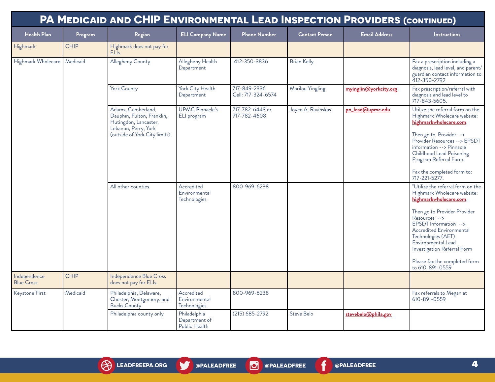|                                   |             | PA MEDICAID AND CHIP ENVIRONMENTAL LEAD INSPECTION PROVIDERS (CONTINUED)                                                           |                                                |                                    |                       |                       |                                                                                                                                                                                                                                                                                                                                          |
|-----------------------------------|-------------|------------------------------------------------------------------------------------------------------------------------------------|------------------------------------------------|------------------------------------|-----------------------|-----------------------|------------------------------------------------------------------------------------------------------------------------------------------------------------------------------------------------------------------------------------------------------------------------------------------------------------------------------------------|
| <b>Health Plan</b>                | Program     | Region                                                                                                                             | <b>ELI Company Name</b>                        | <b>Phone Number</b>                | <b>Contact Person</b> | <b>Email Address</b>  | <b>Instructions</b>                                                                                                                                                                                                                                                                                                                      |
| Highmark                          | <b>CHIP</b> | Highmark does not pay for<br>ELI <sub>s</sub> .                                                                                    |                                                |                                    |                       |                       |                                                                                                                                                                                                                                                                                                                                          |
| Highmark Wholecare                | Medicaid    | Allegheny County                                                                                                                   | Allegheny Health<br>Department                 | 412-350-3836                       | <b>Brian Kelly</b>    |                       | Fax a prescription including a<br>diagnosis, lead level, and parent/<br>guardian contact information to<br>412-350-2792                                                                                                                                                                                                                  |
|                                   |             | York County                                                                                                                        | York City Health<br>Department                 | 717-849-2336<br>Cell: 717-324-6574 | Marilou Yingling      | myinglin@yorkcity.org | Fax prescription/referral with<br>diagnosis and lead level to<br>717-843-5605.                                                                                                                                                                                                                                                           |
|                                   |             | Adams, Cumberland,<br>Dauphin, Fulton, Franklin,<br>Hutingdon, Lancaster,<br>Lebanon, Perry, York<br>(outside of York City limits) | <b>UPMC Pinnacle's</b><br>ELI program          | 717-782-6443 or<br>717-782-4608    | Joyce A. Ravinskas    | pn_lead@upmc.edu      | Utilize the referral form on the<br>Highmark Wholecare website:<br>highmarkwholecare.com.<br>Then go to Provider --><br>Provider Resources --> EPSDT<br>information --> Pinnacle<br>Childhood Lead Poisoning<br>Program Referral Form.<br>Fax the completed form to:<br>717-221-5277.                                                    |
|                                   |             | All other counties                                                                                                                 | Accredited<br>Environmental<br>Technologies    | 800-969-6238                       |                       |                       | "Utilize the referral form on the<br>Highmark Wholecare website:<br>highmarkwholecare.com.<br>Then go to Provider Provider<br>$Resources$ --><br>EPSDT Information --><br><b>Accredited Environmental</b><br>Technologies (AET)<br>Environmental Lead<br>Investigation Referral Form<br>Please fax the completed form<br>to 610-891-0559 |
| Independence<br><b>Blue Cross</b> | <b>CHIP</b> | Independence Blue Cross<br>does not pay for ELIs.                                                                                  |                                                |                                    |                       |                       |                                                                                                                                                                                                                                                                                                                                          |
| Keystone First                    | Medicaid    | Philadelphia, Delaware,<br>Chester, Montgomery, and<br><b>Bucks County</b>                                                         | Accredited<br>Environmental<br>Technologies    | 800-969-6238                       |                       |                       | Fax referrals to Megan at<br>610-891-0559                                                                                                                                                                                                                                                                                                |
|                                   |             | Philadelphia county only                                                                                                           | Philadelphia<br>Department of<br>Public Health | $(215)$ 685-2792                   | Steve Belo            | stevebelo@phila.gov   |                                                                                                                                                                                                                                                                                                                                          |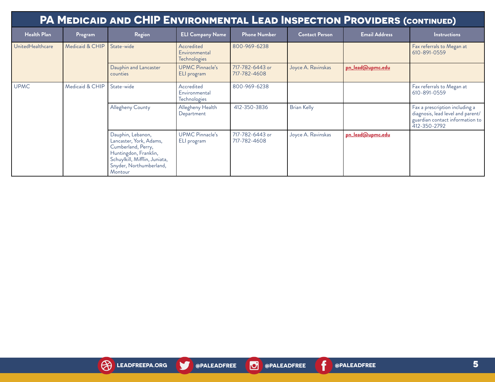| <b>PA MEDICAID AND CHIP ENVIRONMENTAL LEAD INSPECTION PROVIDERS (CONTINUED)</b> |                 |                                                                                                                                                                    |                                                    |                                 |                       |                      |                                                                                                                        |  |  |
|---------------------------------------------------------------------------------|-----------------|--------------------------------------------------------------------------------------------------------------------------------------------------------------------|----------------------------------------------------|---------------------------------|-----------------------|----------------------|------------------------------------------------------------------------------------------------------------------------|--|--|
| <b>Health Plan</b>                                                              | Program         | Region                                                                                                                                                             | <b>ELI Company Name</b>                            | <b>Phone Number</b>             | <b>Contact Person</b> | <b>Email Address</b> | <b>Instructions</b>                                                                                                    |  |  |
| UnitedHealthcare                                                                | Medicaid & CHIP | State-wide                                                                                                                                                         | Accredited<br>Environmental<br>Technologies        | 800-969-6238                    |                       |                      | Fax referrals to Megan at<br>610-891-0559                                                                              |  |  |
|                                                                                 |                 | Dauphin and Lancaster<br>counties                                                                                                                                  | <b>UPMC Pinnacle's</b><br>ELI program              | 717-782-6443 or<br>717-782-4608 | Joyce A. Ravinskas    | pn_lead@upmc.edu     |                                                                                                                        |  |  |
| <b>UPMC</b>                                                                     | Medicaid & CHIP | State-wide                                                                                                                                                         | Accredited<br>Environmental<br><b>Technologies</b> | 800-969-6238                    |                       |                      | Fax referrals to Megan at<br>610-891-0559                                                                              |  |  |
|                                                                                 |                 | Allegheny County                                                                                                                                                   | Allegheny Health<br>Department                     | 412-350-3836                    | <b>Brian Kelly</b>    |                      | Fax a prescription including a<br>diagnosis, lead level and parent/<br>guardian contact information to<br>412-350-2792 |  |  |
|                                                                                 |                 | Dauphin, Lebanon,<br>Lancaster, York, Adams,<br>Cumberland, Perry,<br>Huntingdon, Franklin,<br>Schuylkill, Mifflin, Juniata,<br>Snyder, Northumberland,<br>Montour | <b>UPMC Pinnacle's</b><br>ELI program              | 717-782-6443 or<br>717-782-4608 | Joyce A. Ravinskas    | pn_lead@upmc.edu     |                                                                                                                        |  |  |

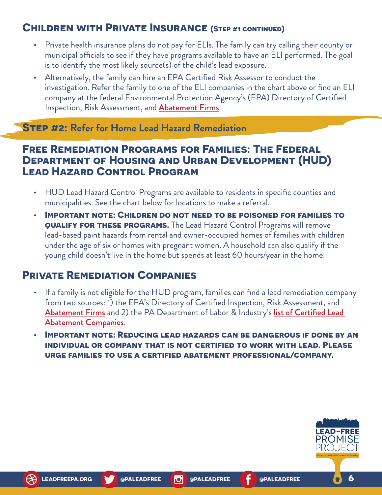# **Children with Private Insurance (Step #1 continued)**

- **•** Private health insurance plans do not pay for ELIs. The family can try calling their county or municipal officials to see if they have programs available to have an ELI performed. The goal is to identify the most likely source(s) of the child's lead exposure.
- **•** Alternatively, the family can hire an EPA Certified Risk Assessor to conduct the investigation. Refer the family to one of the ELI companies in the chart above or find an ELI company at the federal Environmental Protection Agency's (EPA) Directory of Certified Inspection, Risk Assessment, and **[Abatement Firms](https://cfpub.epa.gov/flpp/pub/index.cfm?do=main.firmSearchAbatement)**.

### **Step #2: Refer for Home Lead Hazard Remediation**

### **Free Remediation Programs for Families: The Federal Department of Housing and Urban Development (HUD) Lead Hazard Control Program**

- **•** HUD Lead Hazard Control Programs are available to residents in specific counties and municipalities. See the chart below for locations to make a referral.
- **• Important note: Children do not need to be poisoned for families to QUALIFY FOR THESE PROGRAMS.** The Lead Hazard Control Programs will remove lead-based paint hazards from rental and owner-occupied homes of families with children under the age of six or homes with pregnant women. A household can also qualify if the young child doesn't live in the home but spends at least 60 hours/year in the home.

### **Private Remediation Companies**

- **•** If a family is not eligible for the HUD program, families can find a lead remediation company from two sources: 1) the EPA's Directory of Certified Inspection, Risk Assessment, and [Abatement Firms](https://cfpub.epa.gov/flpp/pub/index.cfm?do=main.firmSearchAbatement) and 2) the PA Department of Labor & Industry's list of Certified Lead [Abatement Companies](https://www.dli.pa.gov/Individuals/Labor-Management-Relations/bois/Documents/LEDCONTR.HTM).
- **• Important note: Reducing lead hazards can be dangerous if done by an individual or company that is not certified to work with lead. Please urge families to use a certified abatement professional/company.**

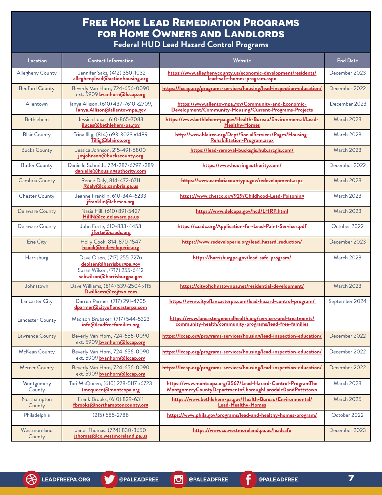# **Free Home Lead Remediation Programs for Home Owners and Landlords**

| <b>Federal HUD Lead Hazard Control Programs</b> |  |
|-------------------------------------------------|--|
|-------------------------------------------------|--|

| Location               | <b>Contact Information</b>                                                                                           | Website                                                                                                                   | <b>End Date</b>   |
|------------------------|----------------------------------------------------------------------------------------------------------------------|---------------------------------------------------------------------------------------------------------------------------|-------------------|
| Allegheny County       | Jennifer Saks, (412) 350-1032<br>alleghenylead@actionhousing.org                                                     | https://www.alleghenycounty.us/economic-development/residents/<br>lead-safe-homes-program.aspx                            | December 2023     |
| <b>Bedford County</b>  | Beverly Van Horn, 724-656-0090<br>ext. 5909 bvanhorn@Iccap.org                                                       | https://lccap.org/programs-services/housing/lead-inspection-education/                                                    | December 2022     |
| Allentown              | Tanya Allison, (610) 437-7610 x2709,<br>Tanya. Allison@allentownpa.gov                                               | https://www.allentownpa.gov/Community-and-Economic-<br>Development/Community-Housing/Current-Programs-Projects            | December 2023     |
| Bethlehem              | Jessica Lucas, 610-865-7083<br>jlucas@bethlehem-pa.gov                                                               | https://www.bethlehem-pa.gov/Health-Bureau/Environmental/Lead-<br>Healthy-Homes                                           | <b>March 2023</b> |
| <b>Blair County</b>    | Trina Illig, (814) 693-3023 x1489<br>Tillig@blairco.org                                                              | http://www.blairco.org/Dept/SocialServices/Pages/Housing-<br>Rehabilitation-Program.aspx                                  | <b>March 2023</b> |
| <b>Bucks County</b>    | Jessica Johnson, 215-491-6800<br>jmjohnson@buckscounty.org                                                           | https://lead-removal-bucksgis.hub.arcgis.com/                                                                             | <b>March 2023</b> |
| <b>Butler County</b>   | Danielle Schmidt, 724-287-6797 x289<br>danielle@housingauthority.com                                                 | https://www.housingauthority.com/                                                                                         | December 2022     |
| <b>Cambria County</b>  | Renee Daly, 814-472-6711<br>Rdaly@co.cambria.pa.us                                                                   | https://www.cambriacountypa.gov/redevelopment.aspx                                                                        | <b>March 2023</b> |
| <b>Chester County</b>  | Jeanne Franklin, 610-344-6233<br>jfranklin@chesco.org                                                                | https://www.chesco.org/929/Childhood-Lead-Poisoning                                                                       | <b>March 2023</b> |
| <b>Delaware County</b> | Nasia Hill, (610) 891-5427<br>HillN@co.delaware.pa.us                                                                | https://www.delcopa.gov/hcd/LHRP.html                                                                                     | <b>March 2023</b> |
| Delaware County        | John Forte, 610-833-4453<br>jforte@caadc.org                                                                         | https://caadc.org/Application-for-Lead-Paint-Services.pdf                                                                 | October 2022      |
| <b>Erie City</b>       | Holly Cook, 814-870-1547<br>hcook@redeveloperie.org                                                                  | https://www.redeveloperie.org/lead_hazard_reduction/                                                                      | December 2023     |
| Harrisburg             | Dave Olsen, (717) 255-7276<br>deolsen@harrisburgpa.gov<br>Susan Wilson, (717) 255-6412<br>scbwilson@harrisburgpa.gov | https://harrisburgpa.gov/lead-safe-program/                                                                               | <b>March 2023</b> |
| Johnstown              | Dave Williams, (814) 539-2504 x115<br>Dwilliams@cojtwn.com                                                           | https://cityofjohnstownpa.net/residential-development/                                                                    | <b>March 2023</b> |
| Lancaster City         | Darren Parmer, (717) 291-4705<br>dparmer@cityoflancasterpa.com                                                       | https://www.cityoflancasterpa.com/lead-hazard-control-program/                                                            | September 2024    |
| Lancaster County       | Madison Brubaker, (717) 544-5323<br>info@leadfreefamilies.org                                                        | https://www.lancastergeneralhealth.org/services-and-treatments/<br>community-health/community-programs/lead-free-families |                   |
| Lawrence County        | Beverly Van Horn, 724-656-0090<br>ext. 5909 bvanhorn@Iccap.org                                                       | https://lccap.org/programs-services/housing/lead-inspection-education/                                                    | December 2022     |
| McKean County          | Beverly Van Horn, 724-656-0090<br>ext. 5909 <b>bvanhorn@lccap.org</b>                                                | https://lccap.org/programs-services/housing/lead-inspection-education/                                                    | December 2022     |
| <b>Mercer County</b>   | Beverly Van Horn, 724-656-0090<br>ext. 5909 bvanhorn@Iccap.org                                                       | https://lccap.org/programs-services/housing/lead-inspection-education/                                                    | December 2022     |
| Montgomery<br>County   | Tori McQueen, (610) 278-5117 x6723<br>tmcqueen@montcopa.org                                                          | https://www.montcopa.org/3567/Lead-Hazard-Control-ProgramThe<br>MontgomeryCountyDepartmentof,boroughLansdaleOandPottstown | March 2023        |
| Northampton<br>County  | Frank Brooks, (610) 829-6311<br>fbrooks@northamptoncounty.org                                                        | https://www.bethlehem-pa.gov/Health-Bureau/Environmental/<br>Lead-Healthy-Homes                                           | March 2025        |
| Philadelphia           | $(215)$ 685-2788                                                                                                     | https://www.phila.gov/programs/lead-and-healthy-homes-program/                                                            | October 2022      |
| Westmoreland<br>County | Janet Thomas, (724) 830-3650<br>jthomas@co.westmoreland.pa.us                                                        | https://www.co.westmoreland.pa.us/leadsafe                                                                                | December 2023     |

V

f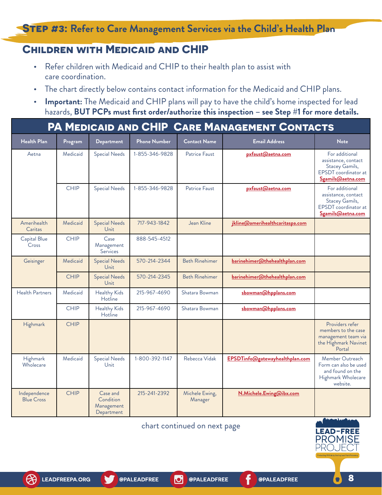**Step #3: Refer to Care Management Services via the Child's Health Plan**

### **Children with Medicaid and CHIP**

- **•** Refer children with Medicaid and CHIP to their health plan to assist with care coordination.
- **•** The chart directly below contains contact information for the Medicaid and CHIP plans.
- **• Important:** The Medicaid and CHIP plans will pay to have the child's home inspected for lead hazards, **BUT PCPs must first order/authorize this inspection – see Step #1 for more details.**

|                                   | PA MEDICAID AND CHIP CARE MANAGEMENT CONTACTS |                                                   |                           |                           |                                 |                                                                                                      |  |  |  |  |
|-----------------------------------|-----------------------------------------------|---------------------------------------------------|---------------------------|---------------------------|---------------------------------|------------------------------------------------------------------------------------------------------|--|--|--|--|
| <b>Health Plan</b>                | Program                                       | Department                                        | <b>Phone Number</b>       | <b>Contact Name</b>       | <b>Email Address</b>            | <b>Note</b>                                                                                          |  |  |  |  |
| Aetna                             | Medicaid                                      | <b>Special Needs</b>                              | 1-855-346-9828            | Patrice Faust             | pxfaust@aetna.com               | For additional<br>assistance, contact<br>Stacey Gamils,<br>EPSDT coordinator at<br>Sgamils@aetna.com |  |  |  |  |
|                                   | <b>CHIP</b>                                   | <b>Special Needs</b>                              | 1-855-346-9828            | Patrice Faust             | pxfaust@aetna.com               | For additional<br>assistance, contact<br>Stacey Gamils,<br>EPSDT coordinator at<br>Sgamils@aetna.com |  |  |  |  |
| Amerihealth<br>Caritas            | Medicaid                                      | <b>Special Needs</b><br><b>Unit</b>               | 717-943-1842              | Jean Kline                | jkline@amerihealthcaritaspa.com |                                                                                                      |  |  |  |  |
| Capital Blue<br>Cross             | <b>CHIP</b>                                   | Case<br>Management<br><b>Services</b>             | 888-545-4512              |                           |                                 |                                                                                                      |  |  |  |  |
| Geisinger                         | Medicaid                                      | <b>Special Needs</b><br><b>Unit</b>               | 570-214-2344              | <b>Beth Rinehimer</b>     | barinehimer@thehealthplan.com   |                                                                                                      |  |  |  |  |
|                                   | <b>CHIP</b>                                   | <b>Special Needs</b><br>Unit                      | 570-214-2345              | <b>Beth Rinehimer</b>     | barinehimer@thehealthplan.com   |                                                                                                      |  |  |  |  |
| <b>Health Partners</b>            | Medicaid                                      | <b>Healthy Kids</b><br>Hotline                    | 215-967-4690              | Shatara Bowman            | sbowman@hpplans.com             |                                                                                                      |  |  |  |  |
|                                   | <b>CHIP</b>                                   | <b>Healthy Kids</b><br>Hotline                    | 215-967-4690              | Shatara Bowman            | sbowman@hpplans.com             |                                                                                                      |  |  |  |  |
| Highmark                          | <b>CHIP</b>                                   |                                                   |                           |                           |                                 | Providers refer<br>members to the case<br>management team via<br>the Highmark Navinet<br>Portal      |  |  |  |  |
| Highmark<br>Wholecare             | Medicaid                                      | <b>Special Needs</b><br><b>Unit</b>               | 1-800-392-1147            | Rebecca Vidak             | EPSDTinfo@gatewayhealthplan.com | Member Outreach<br>Form can also be used<br>and found on the<br>Highmark Wholecare<br>website.       |  |  |  |  |
| Independence<br><b>Blue Cross</b> | <b>CHIP</b>                                   | Case and<br>Condition<br>Management<br>Department | 215-241-2392              | Michele Ewing,<br>Manager | N.Michele.Ewing@ibx.com         |                                                                                                      |  |  |  |  |
|                                   |                                               |                                                   | The contract of the state |                           |                                 |                                                                                                      |  |  |  |  |

chart continued on next page

lol



 $\bullet$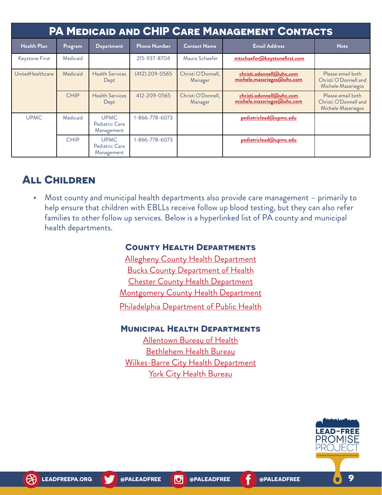| PA MEDICAID AND CHIP CARE MANAGEMENT CONTACTS |             |                                             |                     |                                                                                         |                                                        |                                                                  |  |  |
|-----------------------------------------------|-------------|---------------------------------------------|---------------------|-----------------------------------------------------------------------------------------|--------------------------------------------------------|------------------------------------------------------------------|--|--|
| <b>Health Plan</b>                            | Program     | <b>Department</b>                           | <b>Phone Number</b> | <b>Contact Name</b>                                                                     | <b>Email Address</b>                                   | <b>Note</b>                                                      |  |  |
| Keystone First                                | Medicaid    |                                             | 215-937-8704        | Maura Schaefer                                                                          | mtschaefer@keystonefirst.com                           |                                                                  |  |  |
| UnitedHealthcare                              | Medicaid    | <b>Health Services</b><br>Dept              | $(412)$ 209-0565    | Christi O'Donnell,<br>christi.odonnell@uhc.com<br>michele.mazariegos@uhc.com<br>Manager |                                                        | Please email both<br>Christi O'Donnell and<br>Michele Mazariegos |  |  |
|                                               | <b>CHIP</b> | <b>Health Services</b><br>Dept              | 412-209-0565        | Christi O'Donnell,<br>Manager                                                           | christi.odonnell@uhc.com<br>michele.mazariegos@uhc.com | Please email both<br>Christi O'Donnell and<br>Michele Mazariegos |  |  |
| <b>UPMC</b>                                   | Medicaid    | <b>UPMC</b><br>Pediatric Care<br>Management | 1-866-778-6073      |                                                                                         | pediatriclead@upmc.edu                                 |                                                                  |  |  |
|                                               | <b>CHIP</b> | <b>UPMC</b><br>Pediatric Care<br>Management | 1-866-778-6073      |                                                                                         | pediatriclead@upmc.edu                                 |                                                                  |  |  |

# **All Children**

**•** Most county and municipal health departments also provide care management – primarily to help ensure that children with EBLLs receive follow up blood testing, but they can also refer families to other follow up services. Below is a hyperlinked list of PA county and municipal health departments.

#### **County Health Departments**

[Allegheny County Health Department](https://www.alleghenycounty.us/healthdepartment/index.aspx) [Bucks County Department of Health](https://buckscounty.org/government/healthservices/HealthDepartment) [Chester County Health Department](https://www.chesco.org/224/Health) **[Montgomery County Health Department](https://www.montcopa.org/513/Public-Health)** [Philadelphia Department of Public Health](https://www.phila.gov/departments/department-of-public-health/)

#### **Municipal Health Departments**

[Allentown Bureau of Health](https://www.allentownpa.gov/Health-Bureau) [Bethlehem Health Bureau](https://www.bethlehem-pa.gov/Health-Bureau) [Wilkes-Barre City Health Department](https://www.wilkes-barre.city/health) **[York City Health Bureau](https://www.yorkcity.org/city-services/departments/economic-and-community-development/bureau-of-health/)** 

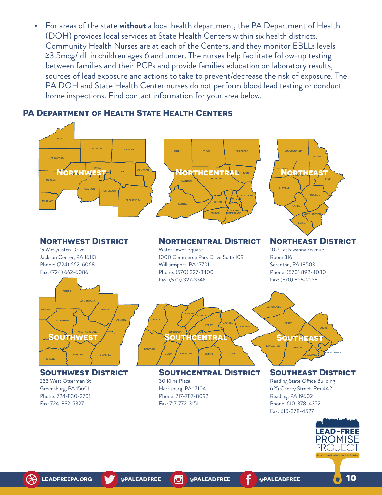**•** For areas of the state **without** a local health department, the PA Department of Health (DOH) provides local services at State Health Centers within six health districts. Community Health Nurses are at each of the Centers, and they monitor EBLLs levels ≥3.5mcg/ dL in children ages 6 and under. The nurses help facilitate follow-up testing between families and their PCPs and provide families education on laboratory results, sources of lead exposure and actions to take to prevent/decrease the risk of exposure. The PA DOH and State Health Center nurses do not perform blood lead testing or conduct home inspections. Find contact information for your area below.

#### **PA Department of Health State Health Centers**



**LEAD-FREE PROMISE** PRO. JF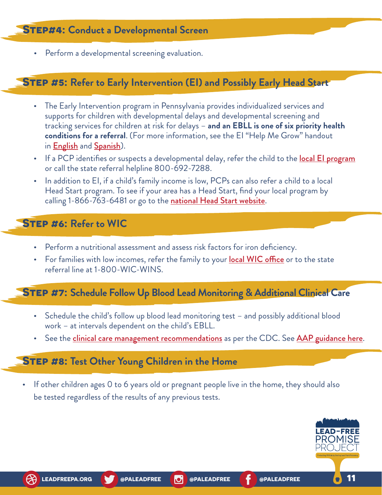**•** Perform a developmental screening evaluation.

#### **Step #5: Refer to Early Intervention (EI) and Possibly Early Head Start**

- **•** The Early Intervention program in Pennsylvania provides individualized services and supports for children with developmental delays and developmental screening and tracking services for children at risk for delays – **and an EBLL is one of six priority health conditions for a referral**. (For more information, see the EI "Help Me Grow" handout in **[English](https://www.pattan.net/assets/PaTTAN/51/51387911-6ec1-4a9f-a270-f5dd7661f58f.pdf)** and **[Spanish](https://www.pattan.net/CMSPages/GetAmazonFile.aspx?path=~%5Cpattan%5Cmedia%5Cmaterials%5Cpublications%5Chelp-me-grow-racklit-sp-12-19wba.pdf&hash=27637ee0c36523271eaa7d308e40c3634fe49e38c420bb1d9bace7bed4148ec7&ext=.pdf)**).
- If a PCP identifies or suspects a developmental delay, refer the child to the **[local EI program](https://www.education.pa.gov/Early%20Learning/Early%20Intervention/Pages/default.aspx)** or call the state referral helpline 800-692-7288.
- **•** In addition to EI, if a child's family income is low, PCPs can also refer a child to a local Head Start program. To see if your area has a Head Start, find your local program by calling 1-866-763-6481 or go to the [national Head Start website](https://eclkc.ohs.acf.hhs.gov/how-apply).

### **Step #6: Refer to WIC**

- **•** Perform a nutritional assessment and assess risk factors for iron deficiency.
- For families with low incomes, refer the family to your [local WIC office](https://www.pawic.com/) or to the state referral line at 1-800-WIC-WINS.

### **Step #7: Schedule Follow Up Blood Lead Monitoring & Additional Clinical Care**

- **•** Schedule the child's follow up blood lead monitoring test and possibly additional blood work – at intervals dependent on the child's EBLL.
- See the **c[linical care management recommendations](https://www.cdc.gov/nceh/lead/advisory/acclpp/actions-blls.htm)** as per the CDC. See **[AAP guidance here](https://www.aap.org/en-us/advocacy-and-policy/aap-health-initiatives/lead-exposure/Pages/Treatment-of-Lead-Poisoning.aspx)**.

#### **Step #8: Test Other Young Children in the Home**

**•** If other children ages 0 to 6 years old or pregnant people live in the home, they should also be tested regardless of the results of any previous tests.

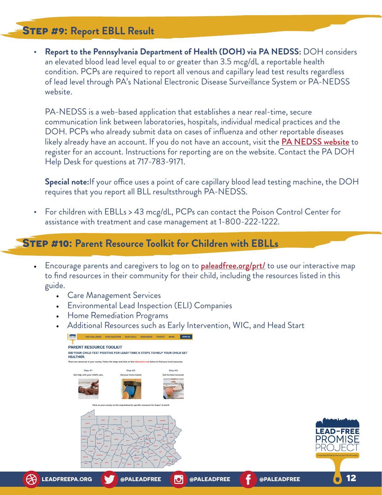# **Step #9: Report EBLL Result**

**• Report to the Pennsylvania Department of Health (DOH) via PA NEDSS:** DOH considers an elevated blood lead level equal to or greater than 3.5 mcg/dL a reportable health condition. PCPs are required to report all venous and capillary lead test results regardless of lead level through PA's National Electronic Disease Surveillance System or PA-NEDSS website.

PA-NEDSS is a web-based application that establishes a near real-time, secure communication link between laboratories, hospitals, individual medical practices and the DOH. PCPs who already submit data on cases of influenza and other reportable diseases likely already have an account. If you do not have an account, visit the **[PA NEDSS website](https://www.nedss.state.pa.us/NEDSS/)** to register for an account. Instructions for reporting are on the website. Contact the PA DOH Help Desk for questions at 717-783-9171.

**Special note:**If your office uses a point of care capillary blood lead testing machine, the DOH requires that you report all BLL resultsthrough PA-NEDSS.

**•** For children with EBLLs > 43 mcg/dL, PCPs can contact the Poison Control Center for assistance with treatment and case management at 1-800-222-1222.

#### **Step #10: Parent Resource Toolkit for Children with EBLLs**

- Encourage parents and caregivers to log on to **[paleadfree.org/prt/](http://paleadfree.org/prt/)** to use our interactive map to find resources in their community for their child, including the resources listed in this guide.
	- Care Management Services
	- Environmental Lead Inspection (ELI) Companies
	- Home Remediation Programs
	- Additional Resources such as Early Intervention, WIC, and Head Start

| THE CHALLENGE OUR COALITION                                                                                               | OUR COALS RESOURCES TOOLKIT NEWS                                                   | JOIN US               |             |             |                                                  |
|---------------------------------------------------------------------------------------------------------------------------|------------------------------------------------------------------------------------|-----------------------|-------------|-------------|--------------------------------------------------|
| <b>PARENT RESOURCE TOOLKIT</b>                                                                                            |                                                                                    |                       |             |             |                                                  |
| DID YOUR CHILD TEST POSITIVE FOR LEAD? TAKE 6 STEPS TO HELP YOUR CHILD GET<br><b>HEALTHIER.</b>                           |                                                                                    |                       |             |             |                                                  |
| There are resources in your county. Follow the steps and click on the interactive map below to find your local resources. |                                                                                    |                       |             |             |                                                  |
| Step #1:                                                                                                                  | Step #2:                                                                           | Step #3:              |             |             |                                                  |
| Get help with your child's care.                                                                                          | Get your home tested.                                                              | Get the lead removed. |             |             |                                                  |
|                                                                                                                           |                                                                                    |                       |             |             |                                                  |
|                                                                                                                           | Click on your county on the map below for specific resources for Steps 1, 2 and 3. |                       |             |             |                                                  |
| <b>SAFER</b><br><b>Simula</b><br>$m_{\rm BH}$<br><b>ALCOHOL</b><br><b>STATE</b><br><b>Non-Marie</b>                       | <b>Winter</b><br>10.143<br><b>STATISTICS</b>                                       |                       |             |             | <b>EAD-F</b><br>Protecting PAKids by Ending Lead |
|                                                                                                                           |                                                                                    |                       |             |             |                                                  |
| <b>LEADFREEPA.ORG</b>                                                                                                     | @PALEADFREE                                                                        | <b>d</b>              | @PALEADFREE | @PALEADFREE |                                                  |

**12**

REI SE